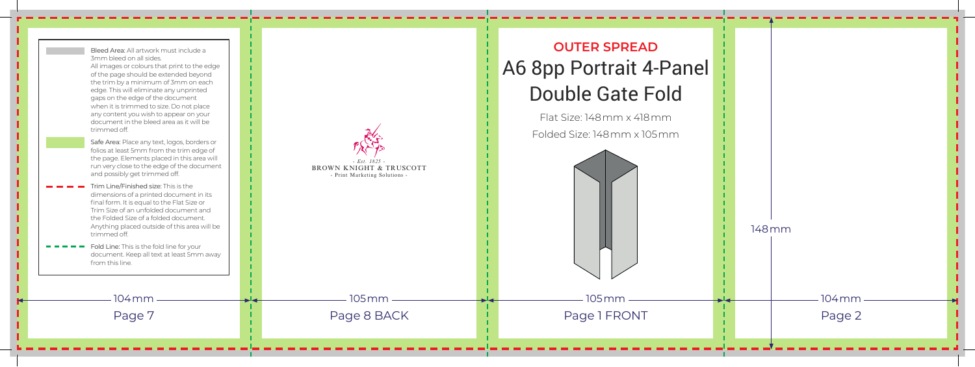